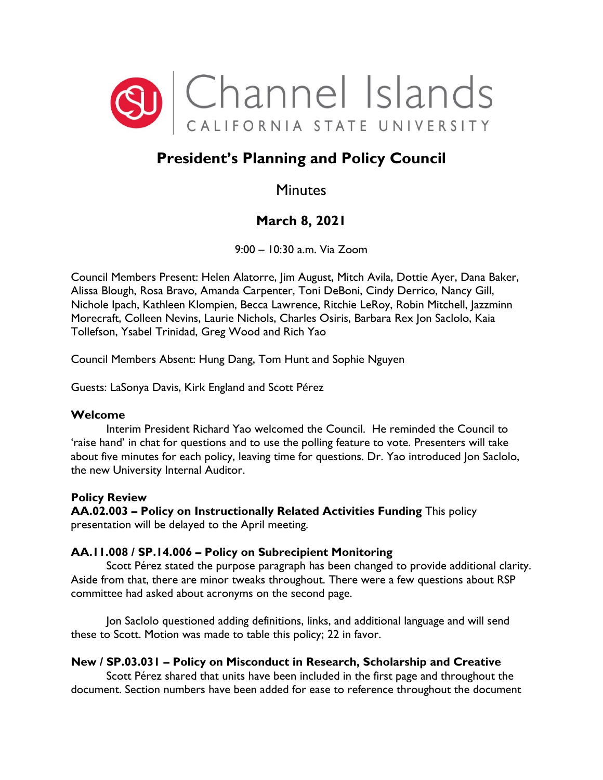

# **President's Planning and Policy Council**

# **Minutes**

# **March 8, 2021**

9:00 – 10:30 a.m. Via Zoom

Council Members Present: Helen Alatorre, Jim August, Mitch Avila, Dottie Ayer, Dana Baker, Alissa Blough, Rosa Bravo, Amanda Carpenter, Toni DeBoni, Cindy Derrico, Nancy Gill, Nichole Ipach, Kathleen Klompien, Becca Lawrence, Ritchie LeRoy, Robin Mitchell, Jazzminn Morecraft, Colleen Nevins, Laurie Nichols, Charles Osiris, Barbara Rex Jon Saclolo, Kaia Tollefson, Ysabel Trinidad, Greg Wood and Rich Yao

Council Members Absent: Hung Dang, Tom Hunt and Sophie Nguyen

Guests: LaSonya Davis, Kirk England and Scott Pérez

### **Welcome**

Interim President Richard Yao welcomed the Council. He reminded the Council to 'raise hand' in chat for questions and to use the polling feature to vote. Presenters will take about five minutes for each policy, leaving time for questions. Dr. Yao introduced Jon Saclolo, the new University Internal Auditor.

### **Policy Review**

**AA.02.003 – Policy on Instructionally Related Activities Funding** This policy presentation will be delayed to the April meeting.

### **AA.11.008 / SP.14.006 – Policy on Subrecipient Monitoring**

Scott Pérez stated the purpose paragraph has been changed to provide additional clarity. Aside from that, there are minor tweaks throughout. There were a few questions about RSP committee had asked about acronyms on the second page.

Jon Saclolo questioned adding definitions, links, and additional language and will send these to Scott. Motion was made to table this policy; 22 in favor.

## **New / SP.03.031 – Policy on Misconduct in Research, Scholarship and Creative**

Scott Pérez shared that units have been included in the first page and throughout the document. Section numbers have been added for ease to reference throughout the document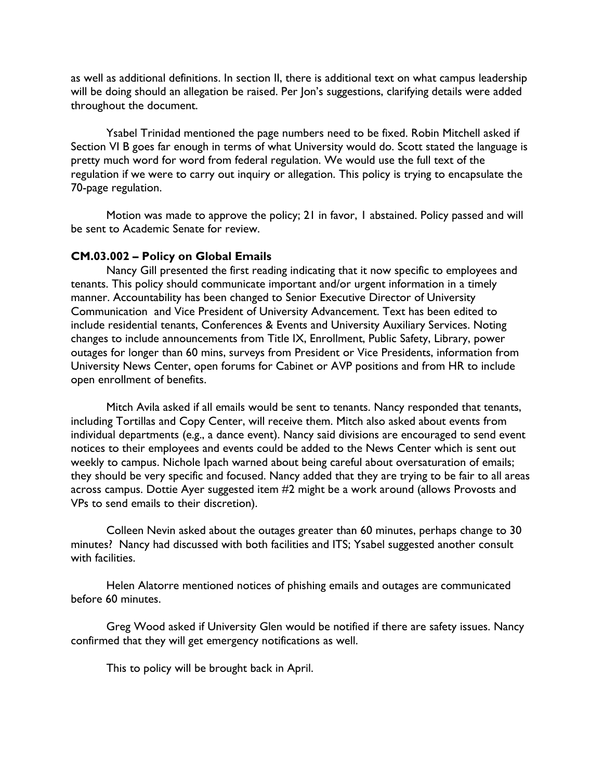as well as additional definitions. In section II, there is additional text on what campus leadership will be doing should an allegation be raised. Per Jon's suggestions, clarifying details were added throughout the document.

Ysabel Trinidad mentioned the page numbers need to be fixed. Robin Mitchell asked if Section VI B goes far enough in terms of what University would do. Scott stated the language is pretty much word for word from federal regulation. We would use the full text of the regulation if we were to carry out inquiry or allegation. This policy is trying to encapsulate the 70-page regulation.

Motion was made to approve the policy; 21 in favor, 1 abstained. Policy passed and will be sent to Academic Senate for review.

#### **CM.03.002 – Policy on Global Emails**

Nancy Gill presented the first reading indicating that it now specific to employees and tenants. This policy should communicate important and/or urgent information in a timely manner. Accountability has been changed to Senior Executive Director of University Communication and Vice President of University Advancement. Text has been edited to include residential tenants, Conferences & Events and University Auxiliary Services. Noting changes to include announcements from Title IX, Enrollment, Public Safety, Library, power outages for longer than 60 mins, surveys from President or Vice Presidents, information from University News Center, open forums for Cabinet or AVP positions and from HR to include open enrollment of benefits.

Mitch Avila asked if all emails would be sent to tenants. Nancy responded that tenants, including Tortillas and Copy Center, will receive them. Mitch also asked about events from individual departments (e.g., a dance event). Nancy said divisions are encouraged to send event notices to their employees and events could be added to the News Center which is sent out weekly to campus. Nichole Ipach warned about being careful about oversaturation of emails; they should be very specific and focused. Nancy added that they are trying to be fair to all areas across campus. Dottie Ayer suggested item #2 might be a work around (allows Provosts and VPs to send emails to their discretion).

Colleen Nevin asked about the outages greater than 60 minutes, perhaps change to 30 minutes? Nancy had discussed with both facilities and ITS; Ysabel suggested another consult with facilities.

Helen Alatorre mentioned notices of phishing emails and outages are communicated before 60 minutes.

Greg Wood asked if University Glen would be notified if there are safety issues. Nancy confirmed that they will get emergency notifications as well.

This to policy will be brought back in April.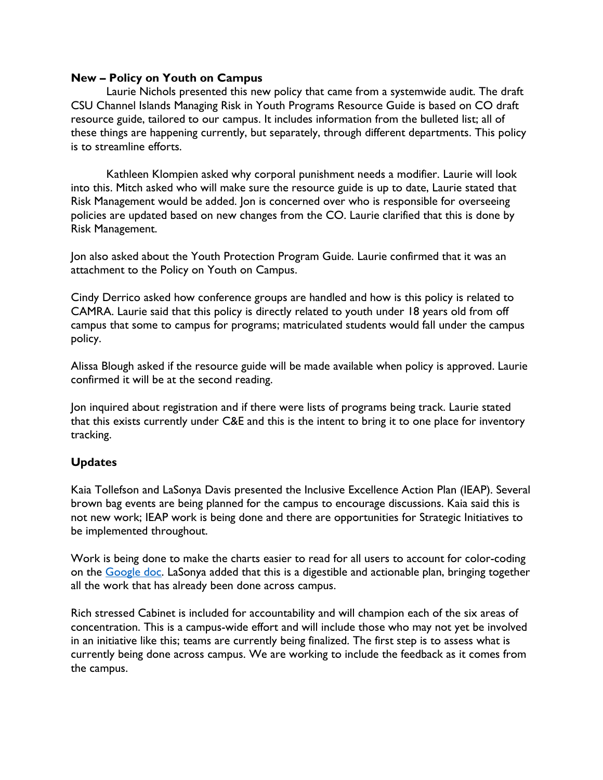#### **New – Policy on Youth on Campus**

Laurie Nichols presented this new policy that came from a systemwide audit. The draft CSU Channel Islands Managing Risk in Youth Programs Resource Guide is based on CO draft resource guide, tailored to our campus. It includes information from the bulleted list; all of these things are happening currently, but separately, through different departments. This policy is to streamline efforts.

Kathleen Klompien asked why corporal punishment needs a modifier. Laurie will look into this. Mitch asked who will make sure the resource guide is up to date, Laurie stated that Risk Management would be added. Jon is concerned over who is responsible for overseeing policies are updated based on new changes from the CO. Laurie clarified that this is done by Risk Management.

Jon also asked about the Youth Protection Program Guide. Laurie confirmed that it was an attachment to the Policy on Youth on Campus.

Cindy Derrico asked how conference groups are handled and how is this policy is related to CAMRA. Laurie said that this policy is directly related to youth under 18 years old from off campus that some to campus for programs; matriculated students would fall under the campus policy.

Alissa Blough asked if the resource guide will be made available when policy is approved. Laurie confirmed it will be at the second reading.

Jon inquired about registration and if there were lists of programs being track. Laurie stated that this exists currently under C&E and this is the intent to bring it to one place for inventory tracking.

#### **Updates**

Kaia Tollefson and LaSonya Davis presented the Inclusive Excellence Action Plan (IEAP). Several brown bag events are being planned for the campus to encourage discussions. Kaia said this is not new work; IEAP work is being done and there are opportunities for Strategic Initiatives to be implemented throughout.

Work is being done to make the charts easier to read for all users to account for color-coding on the [Google doc.](https://drive.google.com/drive/folders/1lnxpg2flq-LKnra-sPv0wjVUUbQbeDLa) LaSonya added that this is a digestible and actionable plan, bringing together all the work that has already been done across campus.

Rich stressed Cabinet is included for accountability and will champion each of the six areas of concentration. This is a campus-wide effort and will include those who may not yet be involved in an initiative like this; teams are currently being finalized. The first step is to assess what is currently being done across campus. We are working to include the feedback as it comes from the campus.